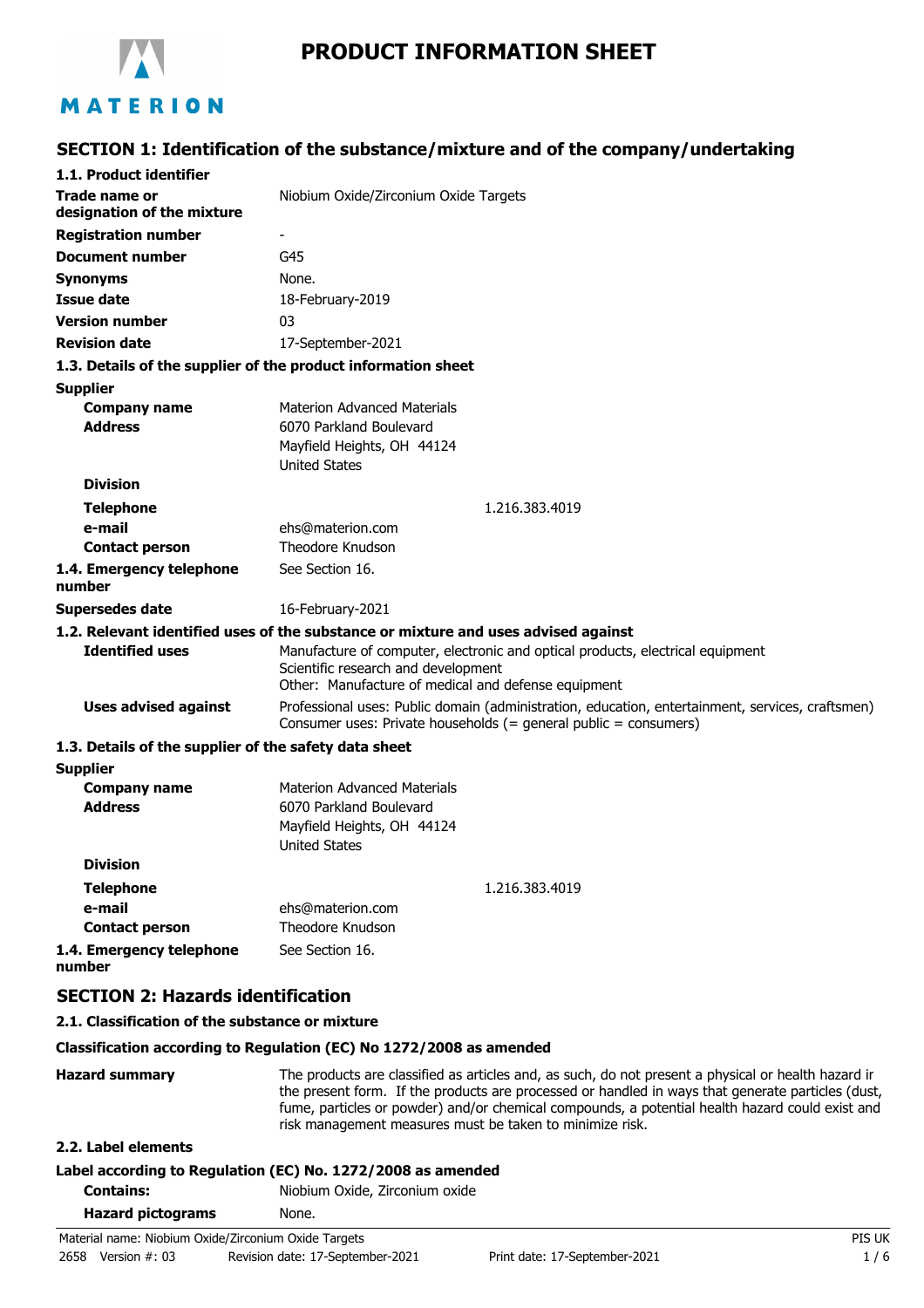

# **PRODUCT INFORMATION SHEET**

## **SECTION 1: Identification of the substance/mixture and of the company/undertaking**

| 1.1. Product identifier                                       |                                                                                                                                                                              |
|---------------------------------------------------------------|------------------------------------------------------------------------------------------------------------------------------------------------------------------------------|
| <b>Trade name or</b><br>designation of the mixture            | Niobium Oxide/Zirconium Oxide Targets                                                                                                                                        |
| <b>Registration number</b>                                    | -                                                                                                                                                                            |
| <b>Document number</b>                                        | G45                                                                                                                                                                          |
| <b>Synonyms</b>                                               | None.                                                                                                                                                                        |
| <b>Issue date</b>                                             | 18-February-2019                                                                                                                                                             |
| <b>Version number</b>                                         | 03                                                                                                                                                                           |
| <b>Revision date</b>                                          | 17-September-2021                                                                                                                                                            |
| 1.3. Details of the supplier of the product information sheet |                                                                                                                                                                              |
| <b>Supplier</b>                                               |                                                                                                                                                                              |
| <b>Company name</b>                                           | <b>Materion Advanced Materials</b>                                                                                                                                           |
| <b>Address</b>                                                | 6070 Parkland Boulevard                                                                                                                                                      |
|                                                               | Mayfield Heights, OH 44124                                                                                                                                                   |
|                                                               | <b>United States</b>                                                                                                                                                         |
| <b>Division</b>                                               |                                                                                                                                                                              |
| <b>Telephone</b>                                              | 1.216.383.4019                                                                                                                                                               |
| e-mail                                                        | ehs@materion.com                                                                                                                                                             |
| <b>Contact person</b>                                         | Theodore Knudson                                                                                                                                                             |
| 1.4. Emergency telephone<br>number                            | See Section 16.                                                                                                                                                              |
| <b>Supersedes date</b>                                        | 16-February-2021                                                                                                                                                             |
|                                                               | 1.2. Relevant identified uses of the substance or mixture and uses advised against                                                                                           |
| <b>Identified uses</b>                                        | Manufacture of computer, electronic and optical products, electrical equipment<br>Scientific research and development<br>Other: Manufacture of medical and defense equipment |
| <b>Uses advised against</b>                                   | Professional uses: Public domain (administration, education, entertainment, services, craftsmen)<br>Consumer uses: Private households (= general public = consumers)         |
| 1.3. Details of the supplier of the safety data sheet         |                                                                                                                                                                              |
| <b>Supplier</b>                                               |                                                                                                                                                                              |
| <b>Company name</b>                                           | <b>Materion Advanced Materials</b>                                                                                                                                           |
| <b>Address</b>                                                | 6070 Parkland Boulevard                                                                                                                                                      |
|                                                               | Mayfield Heights, OH 44124                                                                                                                                                   |
|                                                               | <b>United States</b>                                                                                                                                                         |
| <b>Division</b>                                               |                                                                                                                                                                              |
| <b>Telephone</b>                                              | 1.216.383.4019                                                                                                                                                               |
| e-mail                                                        | ehs@materion.com                                                                                                                                                             |
| <b>Contact person</b>                                         | Theodore Knudson                                                                                                                                                             |
| 1.4. Emergency telephone<br>number                            | See Section 16.                                                                                                                                                              |
| <b>SECTION 2: Hazards identification</b>                      |                                                                                                                                                                              |

#### **2.1. Classification of the substance or mixture**

#### **Classification according to Regulation (EC) No 1272/2008 as amended**

Hazard summary The products are classified as articles and, as such, do not present a physical or health hazard in the present form. If the products are processed or handled in ways that generate particles (dust, fume, particles or powder) and/or chemical compounds, a potential health hazard could exist and risk management measures must be taken to minimize risk.

## **2.2. Label elements**

## **Label according to Regulation (EC) No. 1272/2008 as amended**

**Contains:** Niobium Oxide, Zirconium oxide

| <b>Hazard pictograms</b> | None. |
|--------------------------|-------|
|                          |       |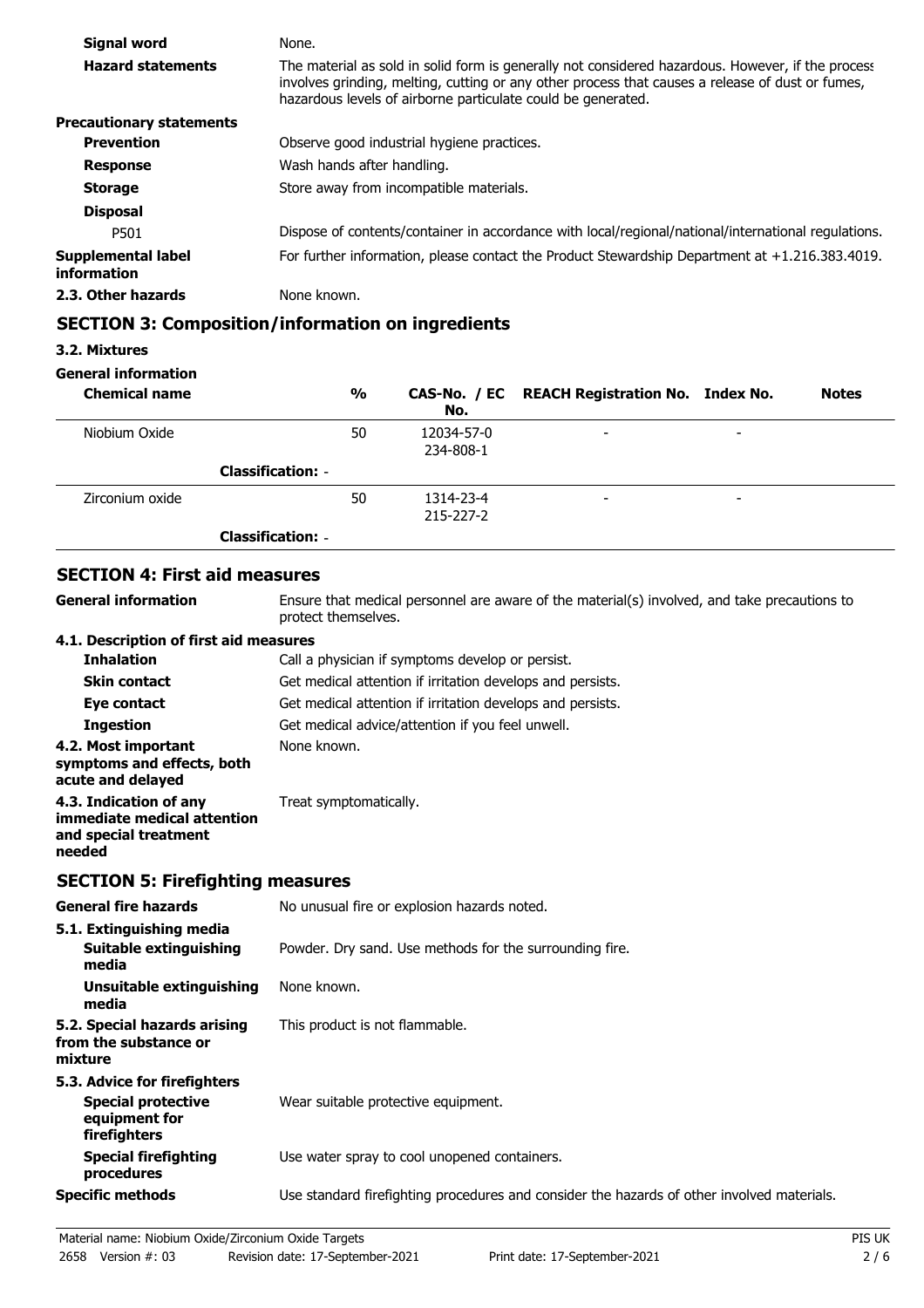| Signal word                       | None.                                                                                                                                                                                                                                                                 |
|-----------------------------------|-----------------------------------------------------------------------------------------------------------------------------------------------------------------------------------------------------------------------------------------------------------------------|
| <b>Hazard statements</b>          | The material as sold in solid form is generally not considered hazardous. However, if the process<br>involves grinding, melting, cutting or any other process that causes a release of dust or fumes,<br>hazardous levels of airborne particulate could be generated. |
| <b>Precautionary statements</b>   |                                                                                                                                                                                                                                                                       |
| <b>Prevention</b>                 | Observe good industrial hygiene practices.                                                                                                                                                                                                                            |
| <b>Response</b>                   | Wash hands after handling.                                                                                                                                                                                                                                            |
| <b>Storage</b>                    | Store away from incompatible materials.                                                                                                                                                                                                                               |
| <b>Disposal</b>                   |                                                                                                                                                                                                                                                                       |
| P501                              | Dispose of contents/container in accordance with local/regional/national/international regulations.                                                                                                                                                                   |
| Supplemental label<br>information | For further information, please contact the Product Stewardship Department at $+1.216.383.4019$ .                                                                                                                                                                     |
| 2.3. Other hazards                | None known.                                                                                                                                                                                                                                                           |

## **SECTION 3: Composition/information on ingredients**

#### **3.2. Mixtures**

#### **General information**

| <b>Chemical name</b> |                          | $\frac{0}{0}$ | No.                     | CAS-No. / EC REACH Registration No. Index No. |                          | <b>Notes</b> |
|----------------------|--------------------------|---------------|-------------------------|-----------------------------------------------|--------------------------|--------------|
| Niobium Oxide        |                          | 50            | 12034-57-0<br>234-808-1 | $\overline{\phantom{a}}$                      | $\overline{\phantom{0}}$ |              |
|                      | <b>Classification: -</b> |               |                         |                                               |                          |              |
| Zirconium oxide      |                          | 50            | 1314-23-4<br>215-227-2  | $\overline{\phantom{a}}$                      | -                        |              |
|                      | <b>Classification: -</b> |               |                         |                                               |                          |              |

## **SECTION 4: First aid measures**

**General information**

Ensure that medical personnel are aware of the material(s) involved, and take precautions to protect themselves.

#### **4.1. Description of first aid measures**

| <b>Inhalation</b>                                                                        | Call a physician if symptoms develop or persist.           |
|------------------------------------------------------------------------------------------|------------------------------------------------------------|
| <b>Skin contact</b>                                                                      | Get medical attention if irritation develops and persists. |
| Eye contact                                                                              | Get medical attention if irritation develops and persists. |
| <b>Ingestion</b>                                                                         | Get medical advice/attention if you feel unwell.           |
| 4.2. Most important<br>symptoms and effects, both<br>acute and delayed                   | None known.                                                |
| 4.3. Indication of any<br>immediate medical attention<br>and special treatment<br>needed | Treat symptomatically.                                     |

### **SECTION 5: Firefighting measures**

| <b>General fire hazards</b>                                                                | No unusual fire or explosion hazards noted.                                                |
|--------------------------------------------------------------------------------------------|--------------------------------------------------------------------------------------------|
| 5.1. Extinguishing media<br>Suitable extinguishing                                         | Powder. Dry sand. Use methods for the surrounding fire.                                    |
| media                                                                                      |                                                                                            |
| Unsuitable extinguishing<br>media                                                          | None known.                                                                                |
| 5.2. Special hazards arising<br>from the substance or<br>mixture                           | This product is not flammable.                                                             |
| 5.3. Advice for firefighters<br><b>Special protective</b><br>equipment for<br>firefighters | Wear suitable protective equipment.                                                        |
| <b>Special firefighting</b><br>procedures                                                  | Use water spray to cool unopened containers.                                               |
| <b>Specific methods</b>                                                                    | Use standard firefighting procedures and consider the hazards of other involved materials. |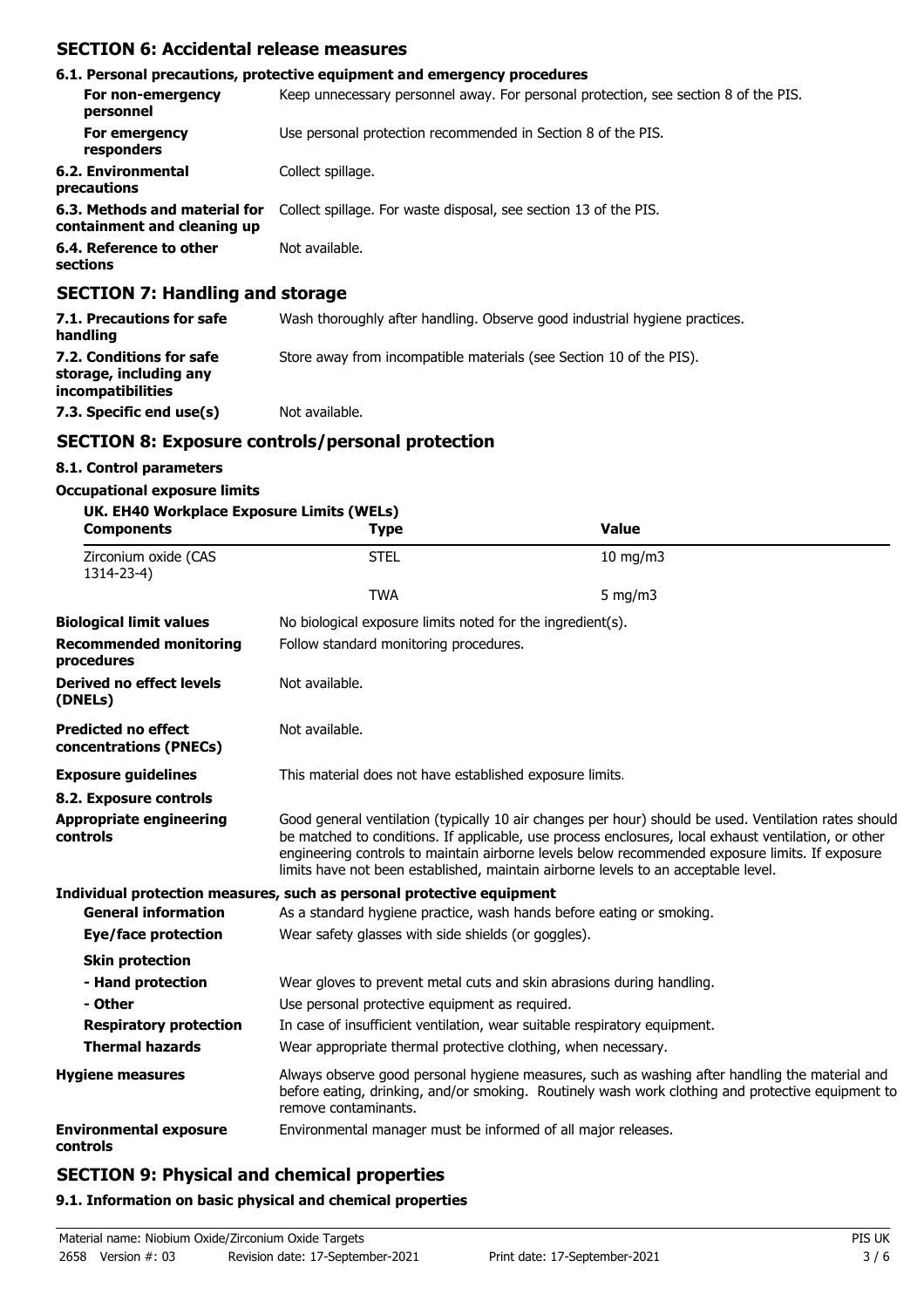## **SECTION 6: Accidental release measures**

|                                                                                                                                                                                                                                                                                                                                                                                      | 6.1. Personal precautions, protective equipment and emergency procedures            |
|--------------------------------------------------------------------------------------------------------------------------------------------------------------------------------------------------------------------------------------------------------------------------------------------------------------------------------------------------------------------------------------|-------------------------------------------------------------------------------------|
| For non-emergency<br>personnel                                                                                                                                                                                                                                                                                                                                                       | Keep unnecessary personnel away. For personal protection, see section 8 of the PIS. |
| For emergency<br>responders                                                                                                                                                                                                                                                                                                                                                          | Use personal protection recommended in Section 8 of the PIS.                        |
| 6.2. Environmental<br>precautions                                                                                                                                                                                                                                                                                                                                                    | Collect spillage.                                                                   |
| 6.3. Methods and material for<br>containment and cleaning up                                                                                                                                                                                                                                                                                                                         | Collect spillage. For waste disposal, see section 13 of the PIS.                    |
| 6.4. Reference to other<br>sections                                                                                                                                                                                                                                                                                                                                                  | Not available.                                                                      |
| $\overline{A}$ $\overline{B}$ $\overline{A}$ $\overline{B}$ $\overline{B}$ $\overline{B}$ $\overline{B}$ $\overline{B}$ $\overline{B}$ $\overline{B}$ $\overline{B}$ $\overline{B}$ $\overline{B}$ $\overline{B}$ $\overline{B}$ $\overline{B}$ $\overline{B}$ $\overline{B}$ $\overline{B}$ $\overline{B}$ $\overline{B}$ $\overline{B}$ $\overline{B}$ $\overline{B}$ $\overline{$ |                                                                                     |

### **SECTION 7: Handling and storage**

| 7.1. Precautions for safe<br>handling                                          | Wash thoroughly after handling. Observe good industrial hygiene practices. |
|--------------------------------------------------------------------------------|----------------------------------------------------------------------------|
| 7.2. Conditions for safe<br>storage, including any<br><i>incompatibilities</i> | Store away from incompatible materials (see Section 10 of the PIS).        |
| 7.3. Specific end use(s)                                                       | Not available.                                                             |

## **SECTION 8: Exposure controls/personal protection**

### **8.1. Control parameters**

#### **Occupational exposure limits**

| UK. EH40 Workplace Exposure Limits (WELs)<br><b>Components</b> | <b>Type</b>                                                           | <b>Value</b>                                                                                                                                                                                                                                                                                                                                                                                           |  |  |
|----------------------------------------------------------------|-----------------------------------------------------------------------|--------------------------------------------------------------------------------------------------------------------------------------------------------------------------------------------------------------------------------------------------------------------------------------------------------------------------------------------------------------------------------------------------------|--|--|
| Zirconium oxide (CAS<br>1314-23-4)                             | <b>STEL</b>                                                           | 10 mg/m3                                                                                                                                                                                                                                                                                                                                                                                               |  |  |
|                                                                | <b>TWA</b>                                                            | $5$ mg/m $3$                                                                                                                                                                                                                                                                                                                                                                                           |  |  |
| <b>Biological limit values</b>                                 | No biological exposure limits noted for the ingredient(s).            |                                                                                                                                                                                                                                                                                                                                                                                                        |  |  |
| <b>Recommended monitoring</b><br>procedures                    | Follow standard monitoring procedures.                                |                                                                                                                                                                                                                                                                                                                                                                                                        |  |  |
| <b>Derived no effect levels</b><br>(DNELs)                     | Not available.                                                        |                                                                                                                                                                                                                                                                                                                                                                                                        |  |  |
| <b>Predicted no effect</b><br>concentrations (PNECs)           | Not available.                                                        |                                                                                                                                                                                                                                                                                                                                                                                                        |  |  |
| <b>Exposure guidelines</b>                                     | This material does not have established exposure limits.              |                                                                                                                                                                                                                                                                                                                                                                                                        |  |  |
| 8.2. Exposure controls                                         |                                                                       |                                                                                                                                                                                                                                                                                                                                                                                                        |  |  |
| <b>Appropriate engineering</b><br>controls                     |                                                                       | Good general ventilation (typically 10 air changes per hour) should be used. Ventilation rates should<br>be matched to conditions. If applicable, use process enclosures, local exhaust ventilation, or other<br>engineering controls to maintain airborne levels below recommended exposure limits. If exposure<br>limits have not been established, maintain airborne levels to an acceptable level. |  |  |
|                                                                | Individual protection measures, such as personal protective equipment |                                                                                                                                                                                                                                                                                                                                                                                                        |  |  |
| <b>General information</b>                                     | As a standard hygiene practice, wash hands before eating or smoking.  |                                                                                                                                                                                                                                                                                                                                                                                                        |  |  |
| Eye/face protection                                            | Wear safety glasses with side shields (or goggles).                   |                                                                                                                                                                                                                                                                                                                                                                                                        |  |  |
| <b>Skin protection</b>                                         |                                                                       |                                                                                                                                                                                                                                                                                                                                                                                                        |  |  |
| - Hand protection                                              |                                                                       | Wear gloves to prevent metal cuts and skin abrasions during handling.                                                                                                                                                                                                                                                                                                                                  |  |  |
| - Other                                                        | Use personal protective equipment as required.                        |                                                                                                                                                                                                                                                                                                                                                                                                        |  |  |
| <b>Respiratory protection</b>                                  |                                                                       | In case of insufficient ventilation, wear suitable respiratory equipment.                                                                                                                                                                                                                                                                                                                              |  |  |
| <b>Thermal hazards</b>                                         | Wear appropriate thermal protective clothing, when necessary.         |                                                                                                                                                                                                                                                                                                                                                                                                        |  |  |
| <b>Hygiene measures</b>                                        | remove contaminants.                                                  | Always observe good personal hygiene measures, such as washing after handling the material and<br>before eating, drinking, and/or smoking. Routinely wash work clothing and protective equipment to                                                                                                                                                                                                    |  |  |
| <b>Environmental exposure</b><br>controls                      | Environmental manager must be informed of all major releases.         |                                                                                                                                                                                                                                                                                                                                                                                                        |  |  |

## **SECTION 9: Physical and chemical properties**

#### **9.1. Information on basic physical and chemical properties**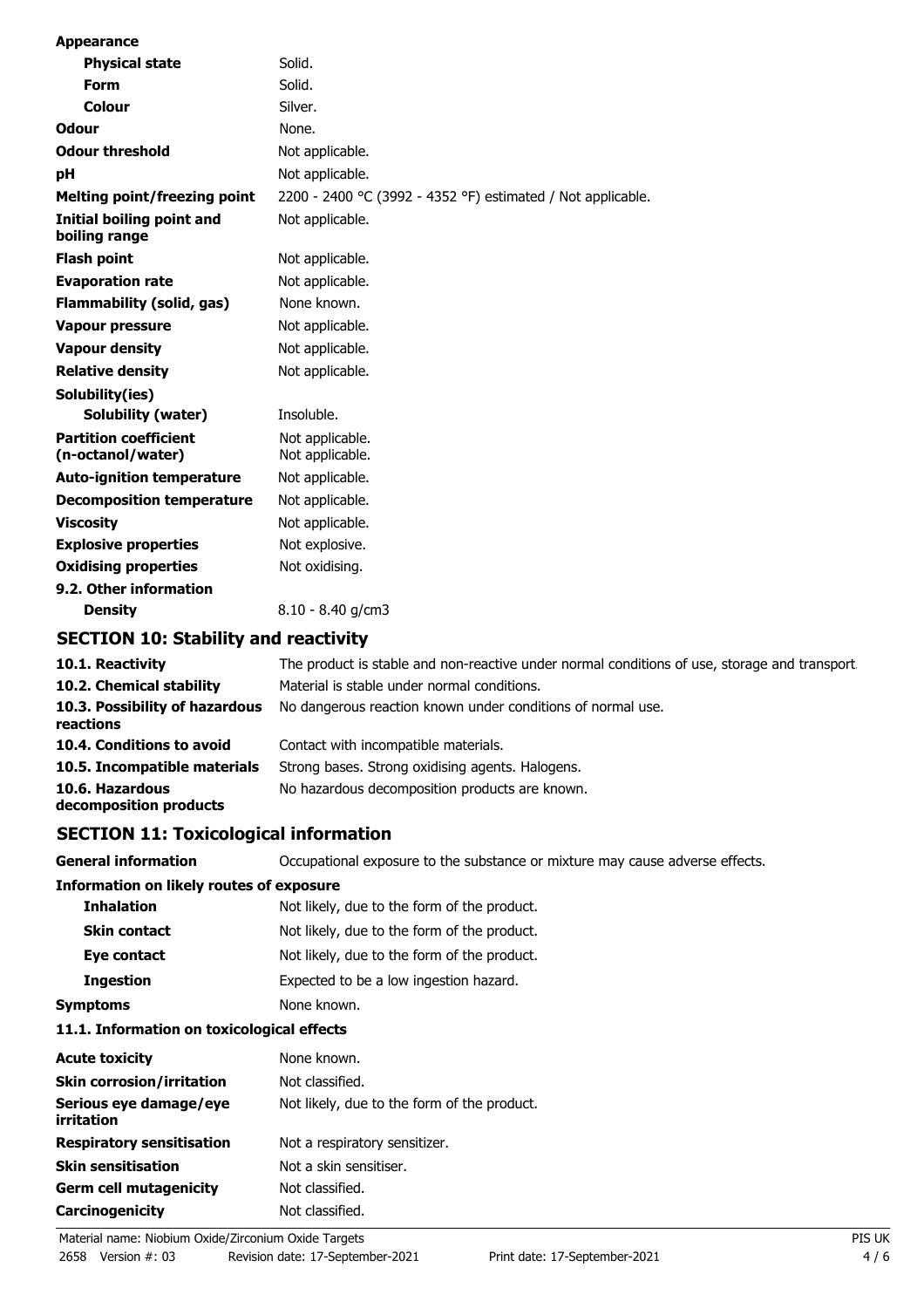| <b>Appearance</b>                                 |                                                                   |
|---------------------------------------------------|-------------------------------------------------------------------|
| <b>Physical state</b>                             | Solid.                                                            |
| Form                                              | Solid.                                                            |
| Colour                                            | Silver.                                                           |
| Odour                                             | None.                                                             |
| <b>Odour threshold</b>                            | Not applicable.                                                   |
| pH                                                | Not applicable.                                                   |
| <b>Melting point/freezing point</b>               | 2200 - 2400 °C (3992 - 4352 °F) estimated / Not applicable.       |
| Initial boiling point and<br>boiling range        | Not applicable.                                                   |
| <b>Flash point</b>                                | Not applicable.                                                   |
| <b>Evaporation rate</b>                           | Not applicable.                                                   |
| <b>Flammability (solid, gas)</b>                  | None known.                                                       |
| <b>Vapour pressure</b>                            | Not applicable.                                                   |
| <b>Vapour density</b>                             | Not applicable.                                                   |
| <b>Relative density</b>                           | Not applicable.                                                   |
| Solubility(ies)                                   |                                                                   |
| <b>Solubility (water)</b>                         | Insoluble.                                                        |
| <b>Partition coefficient</b><br>(n-octanol/water) | Not applicable.<br>Not applicable.                                |
| <b>Auto-ignition temperature</b>                  | Not applicable.                                                   |
| <b>Decomposition temperature</b>                  | Not applicable.                                                   |
| <b>Viscosity</b>                                  | Not applicable.                                                   |
| <b>Explosive properties</b>                       | Not explosive.                                                    |
| <b>Oxidising properties</b>                       | Not oxidising.                                                    |
| 9.2. Other information                            |                                                                   |
| <b>Density</b>                                    | $8.10 - 8.40$ g/cm3                                               |
| <b>SECTION 10: Stability and reactivity</b>       |                                                                   |
| 10.1. Reactivity                                  | The product is stable and non-reactive under normal conditions of |

| 10.1. Reactivity                            | The product is stable and non-reactive under normal conditions of use, storage and transport. |
|---------------------------------------------|-----------------------------------------------------------------------------------------------|
| 10.2. Chemical stability                    | Material is stable under normal conditions.                                                   |
| 10.3. Possibility of hazardous<br>reactions | No dangerous reaction known under conditions of normal use.                                   |
| 10.4. Conditions to avoid                   | Contact with incompatible materials.                                                          |
| 10.5. Incompatible materials                | Strong bases. Strong oxidising agents. Halogens.                                              |
| 10.6. Hazardous<br>decomposition products   | No hazardous decomposition products are known.                                                |

## **SECTION 11: Toxicological information**

| <b>General information</b>               | Occupational exposure to the substance or mixture may cause adverse effects. |
|------------------------------------------|------------------------------------------------------------------------------|
| Information on likely routes of exposure |                                                                              |
| <b>Inhalation</b>                        | Not likely, due to the form of the product.                                  |
| <b>Skin contact</b>                      | Not likely, due to the form of the product.                                  |
| Eye contact                              | Not likely, due to the form of the product.                                  |
| <b>Ingestion</b>                         | Expected to be a low ingestion hazard.                                       |
| <b>Symptoms</b>                          | None known.                                                                  |

## **11.1. Information on toxicological effects**

| <b>Acute toxicity</b>                | None known.                                 |
|--------------------------------------|---------------------------------------------|
| <b>Skin corrosion/irritation</b>     | Not classified.                             |
| Serious eye damage/eye<br>irritation | Not likely, due to the form of the product. |
| <b>Respiratory sensitisation</b>     | Not a respiratory sensitizer.               |
| <b>Skin sensitisation</b>            | Not a skin sensitiser.                      |
| <b>Germ cell mutagenicity</b>        | Not classified.                             |
| Carcinogenicity                      | Not classified.                             |
|                                      |                                             |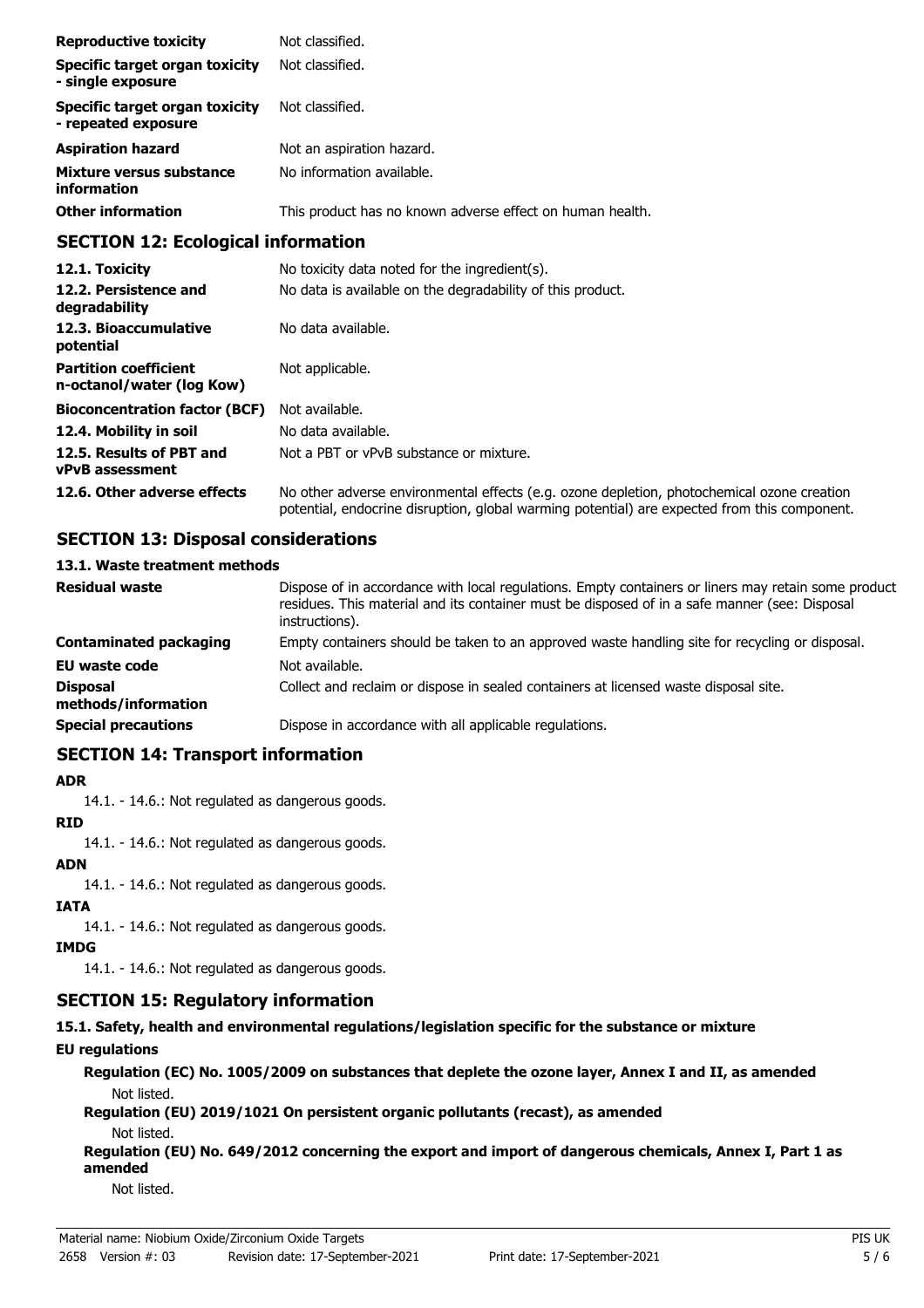| <b>Reproductive toxicity</b>                          | Not classified.                                           |
|-------------------------------------------------------|-----------------------------------------------------------|
| Specific target organ toxicity<br>- single exposure   | Not classified.                                           |
| Specific target organ toxicity<br>- repeated exposure | Not classified.                                           |
| <b>Aspiration hazard</b>                              | Not an aspiration hazard.                                 |
| Mixture versus substance<br>information               | No information available.                                 |
| <b>Other information</b>                              | This product has no known adverse effect on human health. |

## **SECTION 12: Ecological information**

| 12.1. Toxicity                                            | No toxicity data noted for the ingredient(s).                                                                                                                                              |
|-----------------------------------------------------------|--------------------------------------------------------------------------------------------------------------------------------------------------------------------------------------------|
| 12.2. Persistence and<br>degradability                    | No data is available on the degradability of this product.                                                                                                                                 |
| 12.3. Bioaccumulative<br>potential                        | No data available.                                                                                                                                                                         |
| <b>Partition coefficient</b><br>n-octanol/water (log Kow) | Not applicable.                                                                                                                                                                            |
| <b>Bioconcentration factor (BCF)</b>                      | Not available.                                                                                                                                                                             |
| 12.4. Mobility in soil                                    | No data available.                                                                                                                                                                         |
| 12.5. Results of PBT and<br><b>vPvB</b> assessment        | Not a PBT or vPvB substance or mixture.                                                                                                                                                    |
| 12.6. Other adverse effects                               | No other adverse environmental effects (e.g. ozone depletion, photochemical ozone creation<br>potential, endocrine disruption, global warming potential) are expected from this component. |

## **SECTION 13: Disposal considerations**

### **13.1. Waste treatment methods**

| <b>Residual waste</b>                  | Dispose of in accordance with local regulations. Empty containers or liners may retain some product<br>residues. This material and its container must be disposed of in a safe manner (see: Disposal<br>instructions). |
|----------------------------------------|------------------------------------------------------------------------------------------------------------------------------------------------------------------------------------------------------------------------|
| <b>Contaminated packaging</b>          | Empty containers should be taken to an approved waste handling site for recycling or disposal.                                                                                                                         |
| <b>EU waste code</b>                   | Not available.                                                                                                                                                                                                         |
| <b>Disposal</b><br>methods/information | Collect and reclaim or dispose in sealed containers at licensed waste disposal site.                                                                                                                                   |
| <b>Special precautions</b>             | Dispose in accordance with all applicable regulations.                                                                                                                                                                 |

### **SECTION 14: Transport information**

#### **ADR**

14.1. - 14.6.: Not regulated as dangerous goods.

#### **RID**

14.1. - 14.6.: Not regulated as dangerous goods.

## **ADN**

14.1. - 14.6.: Not regulated as dangerous goods.

### **IATA**

14.1. - 14.6.: Not regulated as dangerous goods.

## **IMDG**

14.1. - 14.6.: Not regulated as dangerous goods.

## **SECTION 15: Regulatory information**

## **15.1. Safety, health and environmental regulations/legislation specific for the substance or mixture**

## **EU regulations**

**Regulation (EC) No. 1005/2009 on substances that deplete the ozone layer, Annex I and II, as amended** Not listed.

**Regulation (EU) 2019/1021 On persistent organic pollutants (recast), as amended** Not listed.

**Regulation (EU) No. 649/2012 concerning the export and import of dangerous chemicals, Annex I, Part 1 as amended**

Not listed.